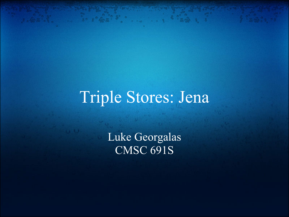# Triple Stores: Jena

 $6.228.8$ 

Luke Georgalas CMSC 691S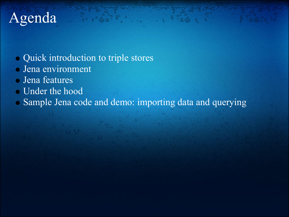# Agenda

- Quick introduction to triple stores
- Jena environment
- Jena features
- Under the hood
- Sample Jena code and demo: importing data and querying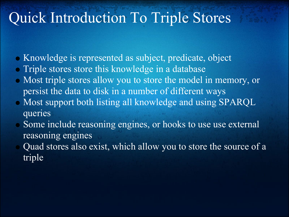## Quick Introduction To Triple Stores

- Knowledge is represented as subject, predicate, object
- Triple stores store this knowledge in a database
- Most triple stores allow you to store the model in memory, or persist the data to disk in a number of different ways
- Most support both listing all knowledge and using SPARQL queries
- Some include reasoning engines, or hooks to use use external reasoning engines
- Quad stores also exist, which allow you to store the source of a triple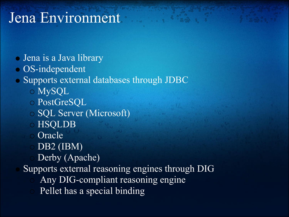## Jena Environment

- Jena is a Java library
- OS-independent
- Supports external databases through JDBC
	- MySQL
	- PostGreSQL
	- SQL Server (Microsoft)
	- HSQLDB
	- Oracle
	- $\circ$  DB2 (IBM)
	- Derby (Apache)
	- Supports external reasoning engines through DIG
		- Any DIG-compliant reasoning engine
		- Pellet has a special binding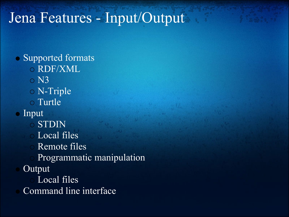## Jena Features - Input/Output

• Supported formats RDF/XML  $\circ$  N3 N-Triple Turtle • Input STDIN Local files Remote files Programmatic manipulation Output Local files Command line interface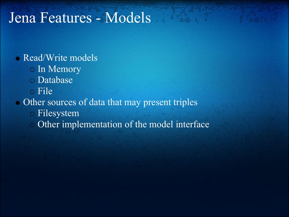### Jena Features - Models

### **Read/Write models**

- o In Memory
- Database
- File

#### • Other sources of data that may present triples

- Filesystem
- Other implementation of the model interface $\overline{O}$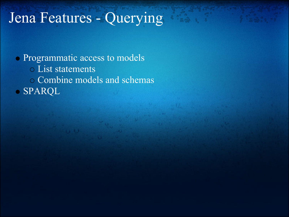# Jena Features - Querying

Programmatic access to models List statements Combine models and schemas SPARQL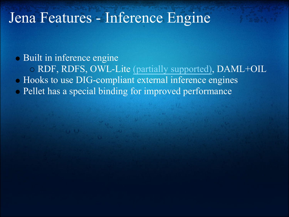### Jena Features - Inference Engine

Built in inference engine RDF, RDFS, OWL-Lite [\(partially supported\),](http://jena.sourceforge.net/inference/index.html#OWLcoverage) DAML+OIL  $\bullet$  Hooks to use DIG-compliant external inference engines Pellet has a special binding for improved performance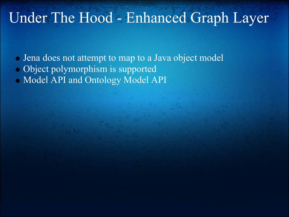### Under The Hood - Enhanced Graph Layer

- Jena does not attempt to map to a Java object model
- Object polymorphism is supported
- Model API and Ontology Model API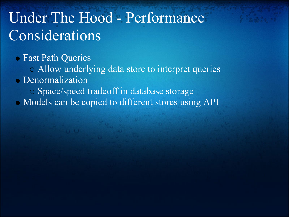# Under The Hood - Performance Considerations

Fast Path Queries

Allow underlying data store to interpret queries

Denormalization

Space/speed tradeoff in database storage

• Models can be copied to different stores using API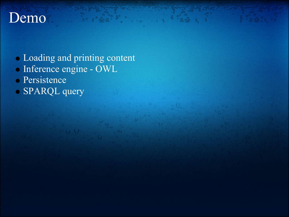### Demo

Loading and printing content

 $6.99988.$ 

- Inference engine OWL
- Persistence
- SPARQL query